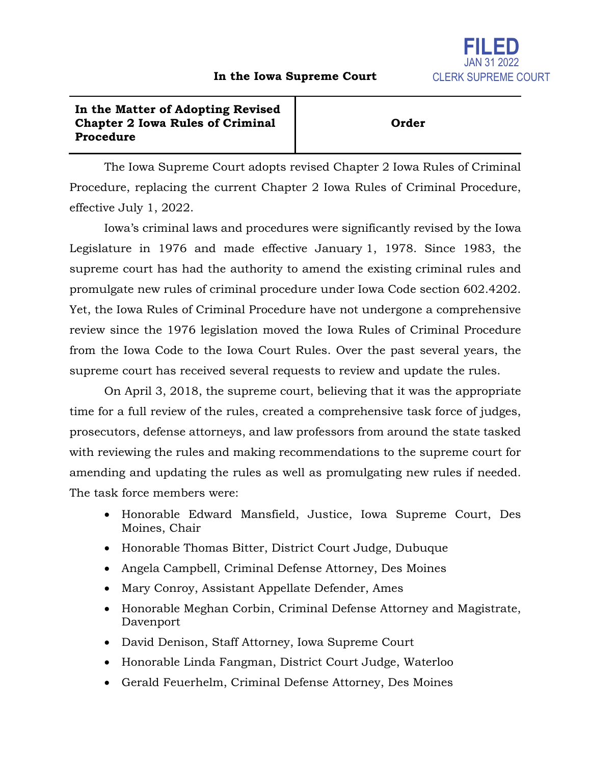

## **In the Matter of Adopting Revised Chapter 2 Iowa Rules of Criminal Procedure**

## **Order**

The Iowa Supreme Court adopts revised Chapter 2 Iowa Rules of Criminal Procedure, replacing the current Chapter 2 Iowa Rules of Criminal Procedure, effective July 1, 2022.

Iowa's criminal laws and procedures were significantly revised by the Iowa Legislature in 1976 and made effective January 1, 1978. Since 1983, the supreme court has had the authority to amend the existing criminal rules and promulgate new rules of criminal procedure under Iowa Code section 602.4202. Yet, the Iowa Rules of Criminal Procedure have not undergone a comprehensive review since the 1976 legislation moved the Iowa Rules of Criminal Procedure from the Iowa Code to the Iowa Court Rules. Over the past several years, the supreme court has received several requests to review and update the rules.

On April 3, 2018, the supreme court, believing that it was the appropriate time for a full review of the rules, created a comprehensive task force of judges, prosecutors, defense attorneys, and law professors from around the state tasked with reviewing the rules and making recommendations to the supreme court for amending and updating the rules as well as promulgating new rules if needed. The task force members were:

- Honorable Edward Mansfield, Justice, Iowa Supreme Court, Des Moines, Chair
- Honorable Thomas Bitter, District Court Judge, Dubuque
- Angela Campbell, Criminal Defense Attorney, Des Moines
- Mary Conroy, Assistant Appellate Defender, Ames
- Honorable Meghan Corbin, Criminal Defense Attorney and Magistrate, Davenport
- David Denison, Staff Attorney, Iowa Supreme Court
- Honorable Linda Fangman, District Court Judge, Waterloo
- Gerald Feuerhelm, Criminal Defense Attorney, Des Moines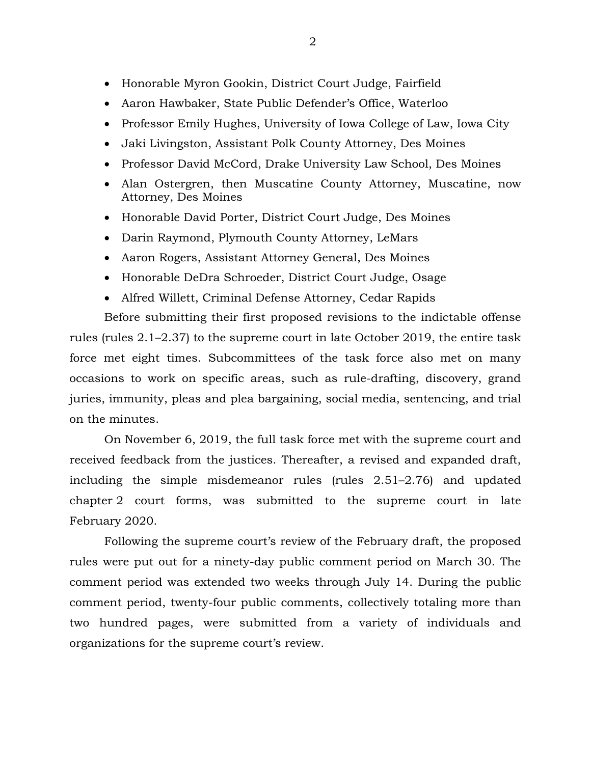- Honorable Myron Gookin, District Court Judge, Fairfield
- Aaron Hawbaker, State Public Defender's Office, Waterloo
- Professor Emily Hughes, University of Iowa College of Law, Iowa City
- Jaki Livingston, Assistant Polk County Attorney, Des Moines
- Professor David McCord, Drake University Law School, Des Moines
- Alan Ostergren, then Muscatine County Attorney, Muscatine, now Attorney, Des Moines
- Honorable David Porter, District Court Judge, Des Moines
- Darin Raymond, Plymouth County Attorney, LeMars
- Aaron Rogers, Assistant Attorney General, Des Moines
- Honorable DeDra Schroeder, District Court Judge, Osage
- Alfred Willett, Criminal Defense Attorney, Cedar Rapids

Before submitting their first proposed revisions to the indictable offense rules (rules 2.1–2.37) to the supreme court in late October 2019, the entire task force met eight times. Subcommittees of the task force also met on many occasions to work on specific areas, such as rule-drafting, discovery, grand juries, immunity, pleas and plea bargaining, social media, sentencing, and trial on the minutes.

On November 6, 2019, the full task force met with the supreme court and received feedback from the justices. Thereafter, a revised and expanded draft, including the simple misdemeanor rules (rules 2.51–2.76) and updated chapter 2 court forms, was submitted to the supreme court in late February 2020.

Following the supreme court's review of the February draft, the proposed rules were put out for a ninety-day public comment period on March 30. The comment period was extended two weeks through July 14. During the public comment period, twenty-four public comments, collectively totaling more than two hundred pages, were submitted from a variety of individuals and organizations for the supreme court's review.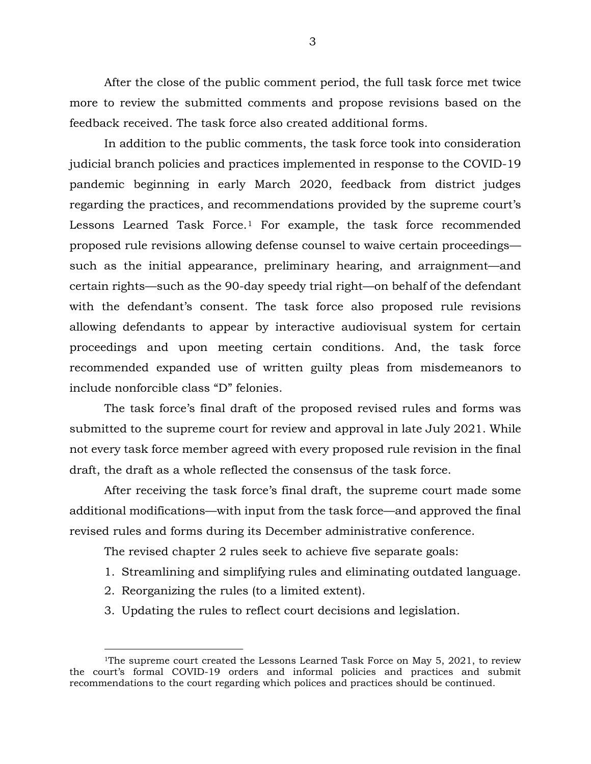After the close of the public comment period, the full task force met twice more to review the submitted comments and propose revisions based on the feedback received. The task force also created additional forms.

In addition to the public comments, the task force took into consideration judicial branch policies and practices implemented in response to the COVID-19 pandemic beginning in early March 2020, feedback from district judges regarding the practices, and recommendations provided by the supreme court's Lessons Learned Task Force.<sup>[1](#page-2-0)</sup> For example, the task force recommended proposed rule revisions allowing defense counsel to waive certain proceedings such as the initial appearance, preliminary hearing, and arraignment—and certain rights—such as the 90-day speedy trial right—on behalf of the defendant with the defendant's consent. The task force also proposed rule revisions allowing defendants to appear by interactive audiovisual system for certain proceedings and upon meeting certain conditions. And, the task force recommended expanded use of written guilty pleas from misdemeanors to include nonforcible class "D" felonies.

The task force's final draft of the proposed revised rules and forms was submitted to the supreme court for review and approval in late July 2021. While not every task force member agreed with every proposed rule revision in the final draft, the draft as a whole reflected the consensus of the task force.

After receiving the task force's final draft, the supreme court made some additional modifications—with input from the task force—and approved the final revised rules and forms during its December administrative conference.

The revised chapter 2 rules seek to achieve five separate goals:

- 1. Streamlining and simplifying rules and eliminating outdated language.
- 2. Reorganizing the rules (to a limited extent).

 $\overline{a}$ 

3. Updating the rules to reflect court decisions and legislation.

<span id="page-2-0"></span><sup>&</sup>lt;sup>1</sup>The supreme court created the Lessons Learned Task Force on May 5, 2021, to review the court's formal COVID-19 orders and informal policies and practices and submit recommendations to the court regarding which polices and practices should be continued.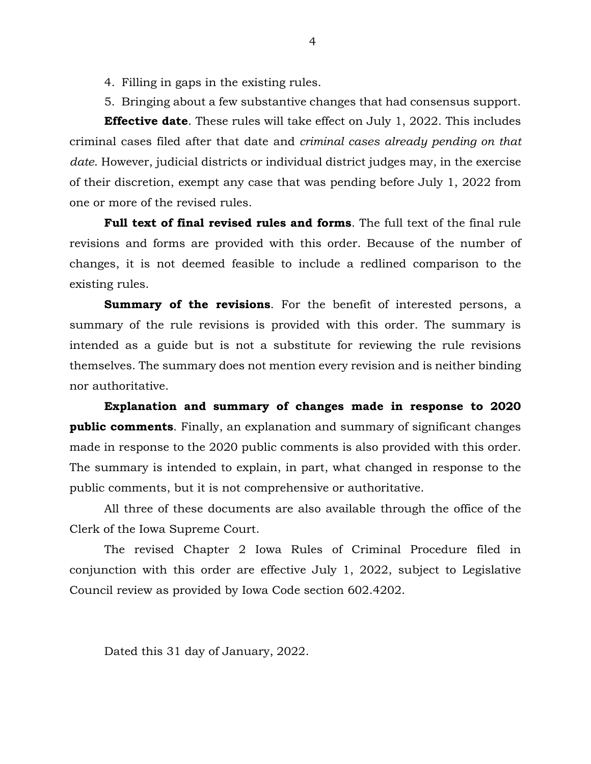- 4. Filling in gaps in the existing rules.
- 5. Bringing about a few substantive changes that had consensus support.

**Effective date**. These rules will take effect on July 1, 2022. This includes criminal cases filed after that date and *criminal cases already pending on that date*. However, judicial districts or individual district judges may, in the exercise of their discretion, exempt any case that was pending before July 1, 2022 from one or more of the revised rules.

**Full text of final revised rules and forms**. The full text of the final rule revisions and forms are provided with this order. Because of the number of changes, it is not deemed feasible to include a redlined comparison to the existing rules.

**Summary of the revisions**. For the benefit of interested persons, a summary of the rule revisions is provided with this order. The summary is intended as a guide but is not a substitute for reviewing the rule revisions themselves. The summary does not mention every revision and is neither binding nor authoritative.

**Explanation and summary of changes made in response to 2020 public comments**. Finally, an explanation and summary of significant changes made in response to the 2020 public comments is also provided with this order. The summary is intended to explain, in part, what changed in response to the public comments, but it is not comprehensive or authoritative.

All three of these documents are also available through the office of the Clerk of the Iowa Supreme Court.

The revised Chapter 2 Iowa Rules of Criminal Procedure filed in conjunction with this order are effective July 1, 2022, subject to Legislative Council review as provided by Iowa Code section 602.4202.

Dated this 31 day of January, 2022.